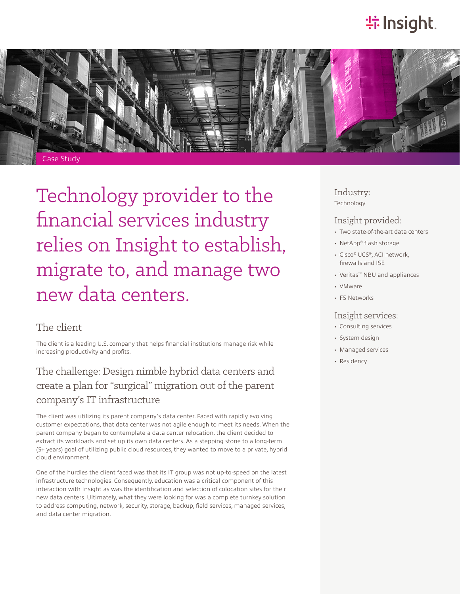# **特Insight**.



Technology provider to the financial services industry relies on Insight to establish, migrate to, and manage two new data centers.

### The client

The client is a leading U.S. company that helps financial institutions manage risk while increasing productivity and profits.

## The challenge: Design nimble hybrid data centers and create a plan for "surgical" migration out of the parent company's IT infrastructure

The client was utilizing its parent company's data center. Faced with rapidly evolving customer expectations, that data center was not agile enough to meet its needs. When the parent company began to contemplate a data center relocation, the client decided to extract its workloads and set up its own data centers. As a stepping stone to a long-term (5+ years) goal of utilizing public cloud resources, they wanted to move to a private, hybrid cloud environment.

One of the hurdles the client faced was that its IT group was not up-to-speed on the latest infrastructure technologies. Consequently, education was a critical component of this interaction with Insight as was the identification and selection of colocation sites for their new data centers. Ultimately, what they were looking for was a complete turnkey solution to address computing, network, security, storage, backup, field services, managed services, and data center migration.

Industry: Technology

#### Insight provided:

- Two state-of-the-art data centers
- NetApp® flash storage
- Cisco® UCS®, ACI network, firewalls and ISE
- Veritas™ NBU and appliances
- VMware
- F5 Networks

#### Insight services:

- Consulting services
- System design
- Managed services
- Residency